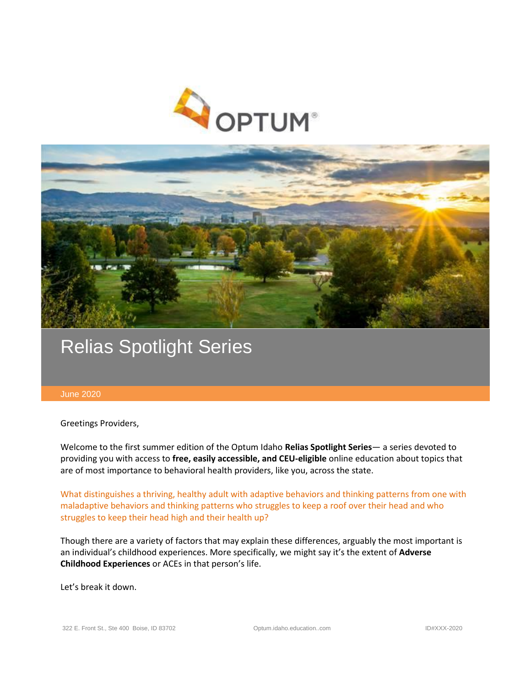



## Relias Spotlight Series

## June 2020

Greetings Providers,

Welcome to the first summer edition of the Optum Idaho **Relias Spotlight Series**— a series devoted to providing you with access to **free, easily accessible, and CEU-eligible** online education about topics that are of most importance to behavioral health providers, like you, across the state.

What distinguishes a thriving, healthy adult with adaptive behaviors and thinking patterns from one with maladaptive behaviors and thinking patterns who struggles to keep a roof over their head and who struggles to keep their head high and their health up?

Though there are a variety of factors that may explain these differences, arguably the most important is an individual's childhood experiences. More specifically, we might say it's the extent of **Adverse Childhood Experiences** or ACEs in that person's life.

Let's break it down.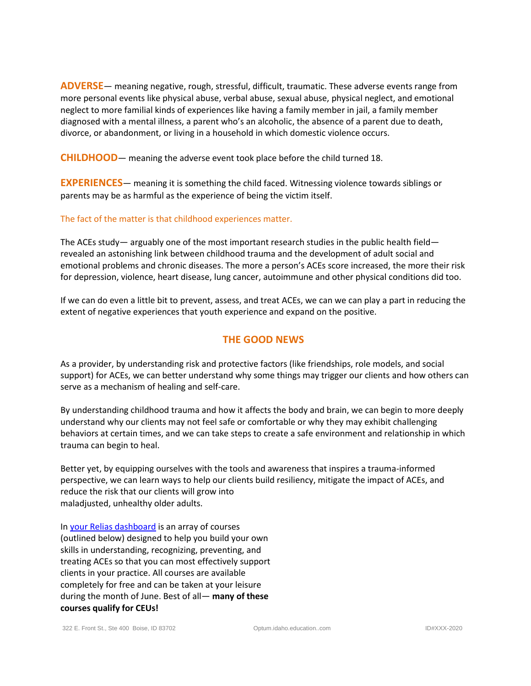**ADVERSE**— meaning negative, rough, stressful, difficult, traumatic. These adverse events range from more personal events like physical abuse, verbal abuse, sexual abuse, physical neglect, and emotional neglect to more familial kinds of experiences like having a family member in jail, a family member diagnosed with a mental illness, a parent who's an alcoholic, the absence of a parent due to death, divorce, or abandonment, or living in a household in which domestic violence occurs.

**CHILDHOOD**— meaning the adverse event took place before the child turned 18.

**EXPERIENCES**— meaning it is something the child faced. Witnessing violence towards siblings or parents may be as harmful as the experience of being the victim itself.

## The fact of the matter is that childhood experiences matter.

The ACEs study— arguably one of the most important research studies in the public health field revealed an astonishing link between childhood trauma and the development of adult social and emotional problems and chronic diseases. The more a person's ACEs score increased, the more their risk for depression, violence, heart disease, lung cancer, autoimmune and other physical conditions did too.

If we can do even a little bit to prevent, assess, and treat ACEs, we can we can play a part in reducing the extent of negative experiences that youth experience and expand on the positive.

## **THE GOOD NEWS**

As a provider, by understanding risk and protective factors (like friendships, role models, and social support) for ACEs, we can better understand why some things may trigger our clients and how others can serve as a mechanism of healing and self-care.

By understanding childhood trauma and how it affects the body and brain, we can begin to more deeply understand why our clients may not feel safe or comfortable or why they may exhibit challenging behaviors at certain times, and we can take steps to create a safe environment and relationship in which trauma can begin to heal.

Better yet, by equipping ourselves with the tools and awareness that inspires a trauma-informed perspective, we can learn ways to help our clients build resiliency, mitigate the impact of ACEs, and reduce the risk that our clients will grow into maladjusted, unhealthy older adults.

In [your Relias dashboard](https://optumidaho.training.reliaslearning.com/) is an array of courses (outlined below) designed to help you build your own skills in understanding, recognizing, preventing, and treating ACEs so that you can most effectively support clients in your practice. All courses are available completely for free and can be taken at your leisure during the month of June. Best of all— **many of these courses qualify for CEUs!**